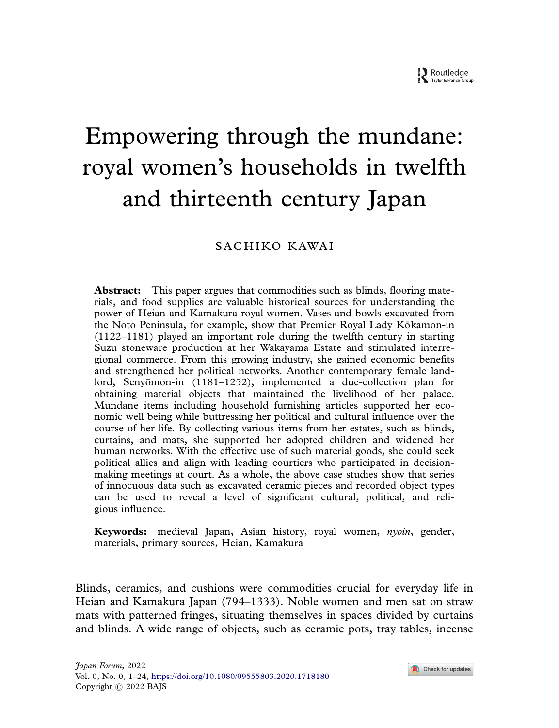# Empowering through the mundane: royal women's households in twelfth and thirteenth century Japan

## SACH IKO KAWA I

Abstract: This paper argues that commodities such as blinds, flooring materials, and food supplies are valuable historical sources for understanding the power of Heian and Kamakura royal women. Vases and bowls excavated from the Noto Peninsula, for example, show that Premier Royal Lady Kōkamon-in (1122–1181) played an important role during the twelfth century in starting Suzu stoneware production at her Wakayama Estate and stimulated interregional commerce. From this growing industry, she gained economic benefits and strengthened her political networks. Another contemporary female landlord, Senyomon-in (1181–1252), implemented a due-collection plan for obtaining material objects that maintained the livelihood of her palace. Mundane items including household furnishing articles supported her economic well being while buttressing her political and cultural influence over the course of her life. By collecting various items from her estates, such as blinds, curtains, and mats, she supported her adopted children and widened her human networks. With the effective use of such material goods, she could seek political allies and align with leading courtiers who participated in decisionmaking meetings at court. As a whole, the above case studies show that series of innocuous data such as excavated ceramic pieces and recorded object types can be used to reveal a level of significant cultural, political, and religious influence.

Keywords: medieval Japan, Asian history, royal women, *nyoin*, gender, materials, primary sources, Heian, Kamakura

Blinds, ceramics, and cushions were commodities crucial for everyday life in Heian and Kamakura Japan (794–1333). Noble women and men sat on straw mats with patterned fringes, situating themselves in spaces divided by curtains and blinds. A wide range of objects, such as ceramic pots, tray tables, incense

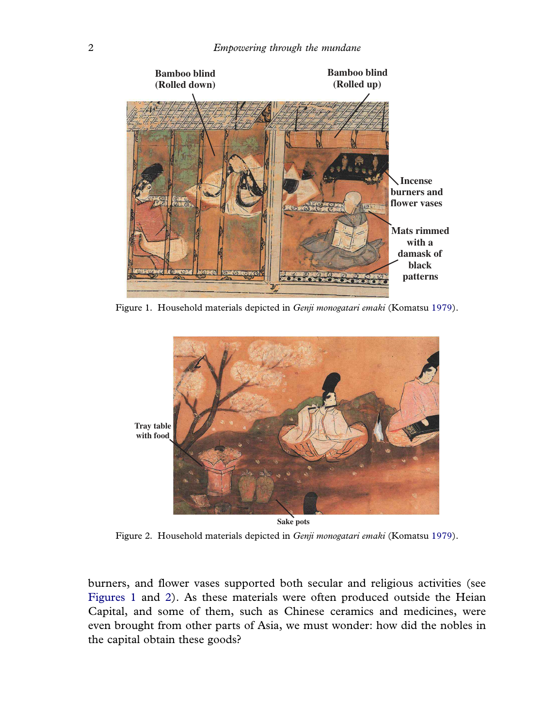

Figure 1*.* Household materials depicted in *Genji monogatari emaki* (Komatsu 1979).



**Sake pots**

Figure 2*.* Household materials depicted in *Genji monogatari emaki* (Komatsu 1979).

burners, and flower vases supported both secular and religious activities (see Figures 1 and 2). As these materials were often produced outside the Heian Capital, and some of them, such as Chinese ceramics and medicines, were even brought from other parts of Asia, we must wonder: how did the nobles in the capital obtain these goods?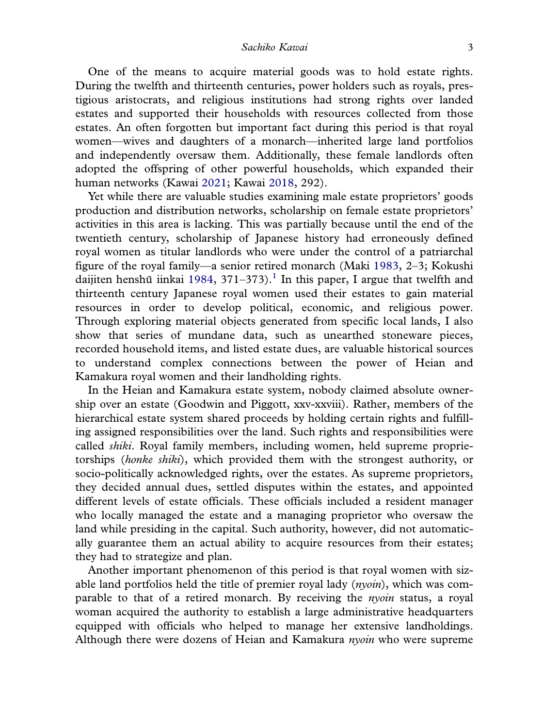One of the means to acquire material goods was to hold estate rights. During the twelfth and thirteenth centuries, power holders such as royals, prestigious aristocrats, and religious institutions had strong rights over landed estates and supported their households with resources collected from those estates. An often forgotten but important fact during this period is that royal women—wives and daughters of a monarch—inherited large land portfolios and independently oversaw them. Additionally, these female landlords often adopted the offspring of other powerful households, which expanded their human networks (Kawai 2021; Kawai 2018, 292).

Yet while there are valuable studies examining male estate proprietors' goods production and distribution networks, scholarship on female estate proprietors' activities in this area is lacking. This was partially because until the end of the twentieth century, scholarship of Japanese history had erroneously defined royal women as titular landlords who were under the control of a patriarchal figure of the royal family—a senior retired monarch (Maki 1983, 2–3; Kokushi daijiten henshū iinkai 1984, 371–373).<sup>1</sup> In this paper, I argue that twelfth and thirteenth century Japanese royal women used their estates to gain material resources in order to develop political, economic, and religious power. Through exploring material objects generated from specific local lands, I also show that series of mundane data, such as unearthed stoneware pieces, recorded household items, and listed estate dues, are valuable historical sources to understand complex connections between the power of Heian and Kamakura royal women and their landholding rights.

In the Heian and Kamakura estate system, nobody claimed absolute ownership over an estate (Goodwin and Piggott, xxv-xxviii). Rather, members of the hierarchical estate system shared proceeds by holding certain rights and fulfilling assigned responsibilities over the land. Such rights and responsibilities were called *shiki*. Royal family members, including women, held supreme proprietorships (*honke shiki*), which provided them with the strongest authority, or socio-politically acknowledged rights, over the estates. As supreme proprietors, they decided annual dues, settled disputes within the estates, and appointed different levels of estate officials. These officials included a resident manager who locally managed the estate and a managing proprietor who oversaw the land while presiding in the capital. Such authority, however, did not automatically guarantee them an actual ability to acquire resources from their estates; they had to strategize and plan.

Another important phenomenon of this period is that royal women with sizable land portfolios held the title of premier royal lady (*nyoin*), which was comparable to that of a retired monarch. By receiving the *nyoin* status, a royal woman acquired the authority to establish a large administrative headquarters equipped with officials who helped to manage her extensive landholdings. Although there were dozens of Heian and Kamakura *nyoin* who were supreme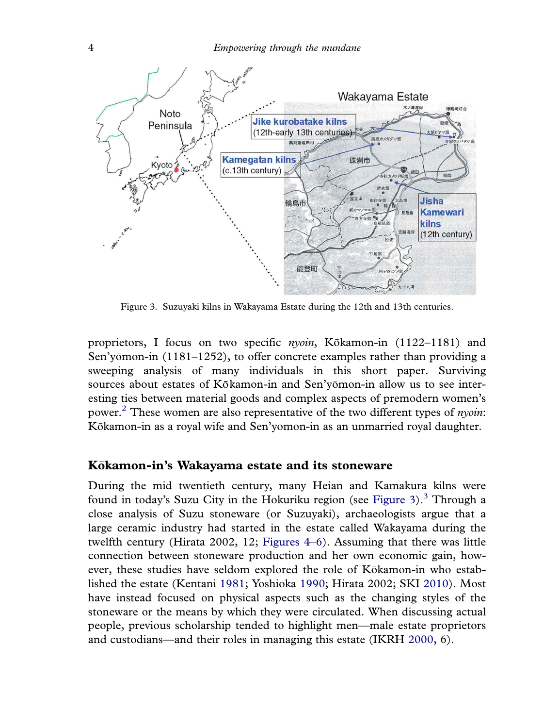

Figure 3*.* Suzuyaki kilns in Wakayama Estate during the 12th and 13th centuries.

proprietors, I focus on two specific *nyoin*, Kōkamon-in (1122–1181) and Sen'yomon-in (1181–1252), to offer concrete examples rather than providing a sweeping analysis of many individuals in this short paper. Surviving sources about estates of Kōkamon-in and Sen'yomon-in allow us to see inter esting ties between material goods and complex aspects of premodern women's power.<sup>2</sup> These women are also representative of the two different types of *nyoin*: Kōkamon-in as a royal wife and Sen'yōmon-in as an unmarried royal daughter.

### Kōkamon-in's Wakayama estate and its stoneware

During the mid twentieth century, many Heian and Kamakura kilns were found in today's Suzu City in the Hokuriku region (see Figure 3).<sup>3</sup> Through a close analysis of Suzu stoneware (or Suzuyaki), archaeologists argue that a large ceramic industry had started in the estate called Wakayama during the twelfth century (Hirata 2002, 12; Figures 4–6). Assuming that there was little connection between stoneware production and her own economic gain, however, these studies have seldom explored the role of Kokamon-in who estab lished the estate (Kentani 1981; Yoshioka 1990; Hirata 2002; SKI 2010). Most have instead focused on physical aspects such as the changing styles of the stoneware or the means by which they were circulated. When discussing actual people, previous scholarship tended to highlight men—male estate proprietors and custodians—and their roles in managing this estate (IKRH 2000, 6).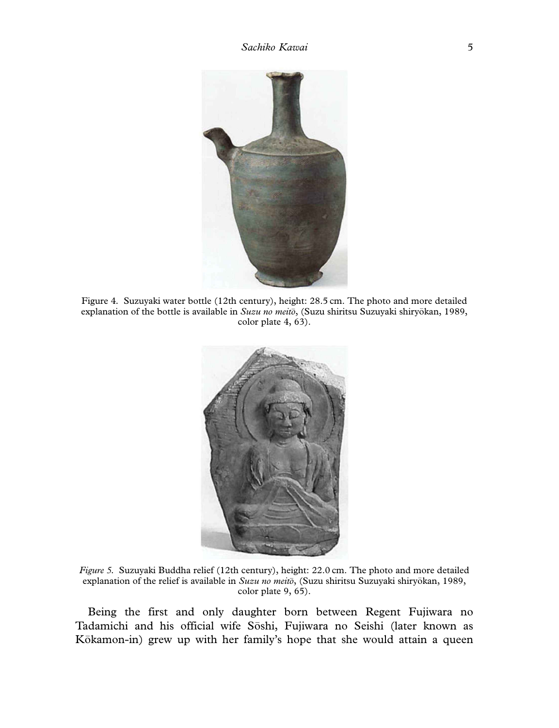

Figure 4*.* Suzuyaki water bottle (12th century), height: 28.5 cm. The photo and more detailed explanation of the bottle is available in *Suzu no meito*, (Suzu shiritsu Suzuyaki shiryokan, 1989, color plate 4, 63).



*Figure 5.* Suzuyaki Buddha relief (12th century), height: 22.0 cm. The photo and more detailed explanation of the relief is available in *Suzu no meito*, (Suzu shiritsu Suzuyaki shiryokan, 1989, color plate 9, 65).

Being the first and only daughter born between Regent Fujiwara no Tadamichi and his official wife Soshi, Fujiwara no Seishi (later known as Kōkamon-in) grew up with her family's hope that she would attain a queen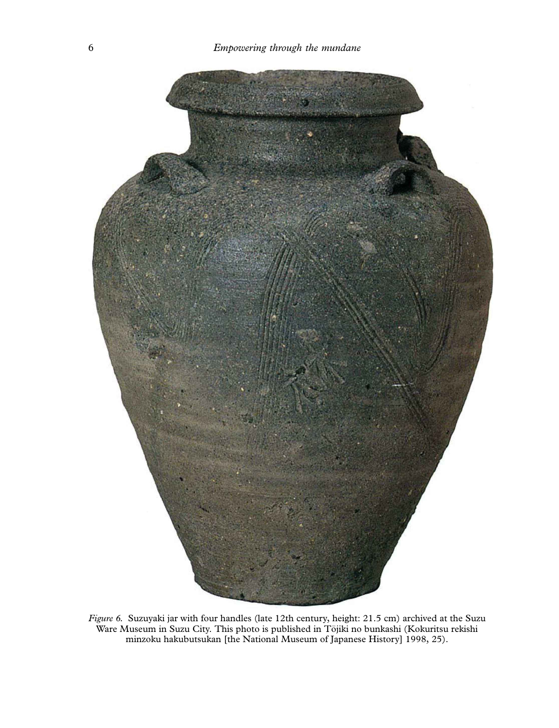

*Figure 6.* Suzuyaki jar with four handles (late 12th century, height: 21.5 cm) archived at the Suzu Ware Museum in Suzu City. This photo is published in Tojiki no bunkashi (Kokuritsu rekishi minzoku hakubutsukan [the National Museum of Japanese History] 1998, 25).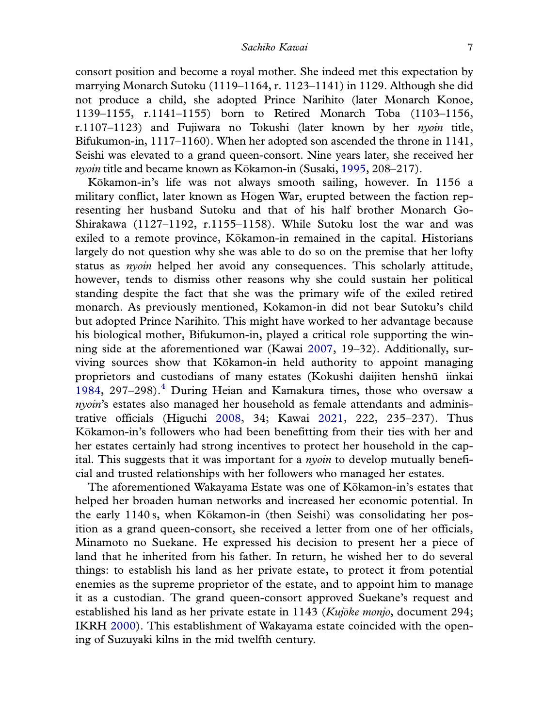consort position and become a royal mother. She indeed met this expectation by marrying Monarch Sutoku (1119–1164, r. 1123–1141) in 1129. Although she did not produce a child, she adopted Prince Narihito (later Monarch Konoe, 1139–1155, r.1141–1155) born to Retired Monarch Toba (1103–1156, r.1107–1123) and Fujiwara no Tokushi (later known by her *nyoin* title, Bifukumon-in, 1117–1160). When her adopted son ascended the throne in 1141, Seishi was elevated to a grand queen-consort. Nine years later, she received her *nyoin* title and became known as Kokamon-in (Susaki, 1995, 208–217).

Kokamon-in's life was not always smooth sailing, however. In 1156 a military conflict, later known as Hogen War, erupted between the faction rep resenting her husband Sutoku and that of his half brother Monarch Go-Shirakawa (1127–1192, r.1155–1158). While Sutoku lost the war and was exiled to a remote province, Kōkamon-in remained in the capital. Historians largely do not question why she was able to do so on the premise that her lofty status as *nyoin* helped her avoid any consequences. This scholarly attitude, however, tends to dismiss other reasons why she could sustain her political standing despite the fact that she was the primary wife of the exiled retired monarch. As previously mentioned, Kokamon-in did not bear Sutoku's child but adopted Prince Narihito. This might have worked to her advantage because his biological mother, Bifukumon-in, played a critical role supporting the winning side at the aforementioned war (Kawai 2007, 19–32). Additionally, surviving sources show that Kokamon-in held authority to appoint managing proprietors and custodians of many estates (Kokushi daijiten henshū iinkai 1984, 297–298). $4$  During Heian and Kamakura times, those who oversaw a *nyoin*'s estates also managed her household as female attendants and administrative officials (Higuchi 2008, 34; Kawai 2021, 222, 235–237). Thus Kokamon-in's followers who had been benefitting from their ties with her and her estates certainly had strong incentives to protect her household in the capital. This suggests that it was important for a *nyoin* to develop mutually beneficial and trusted relationships with her followers who managed her estates.

The aforementioned Wakayama Estate was one of Kokamon-in's estates that helped her broaden human networks and increased her economic potential. In the early 1140 s, when Kōkamon-in (then Seishi) was consolidating her position as a grand queen-consort, she received a letter from one of her officials, Minamoto no Suekane. He expressed his decision to present her a piece of land that he inherited from his father. In return, he wished her to do several things: to establish his land as her private estate, to protect it from potential enemies as the supreme proprietor of the estate, and to appoint him to manage it as a custodian. The grand queen-consort approved Suekane's request and established his land as her private estate in 1143 (*Kujoke monjo*, document 294; IKRH 2000). This establishment of Wakayama estate coincided with the opening of Suzuyaki kilns in the mid twelfth century.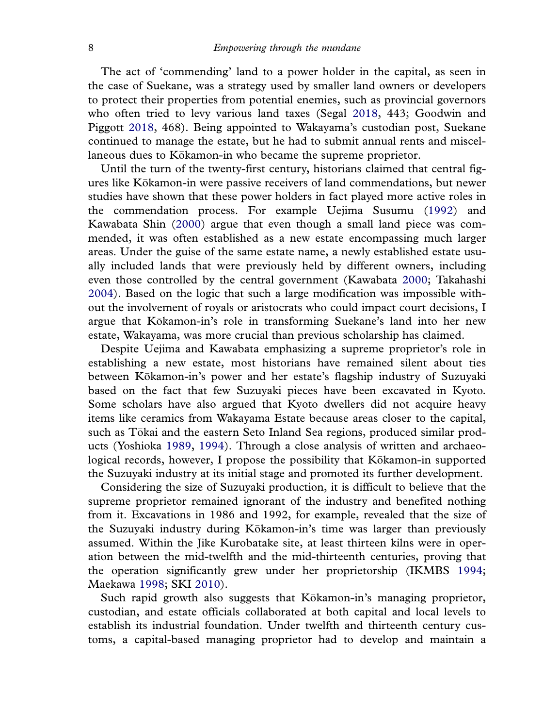The act of 'commending' land to a power holder in the capital, as seen in the case of Suekane, was a strategy used by smaller land owners or developers to protect their properties from potential enemies, such as provincial governors who often tried to levy various land taxes (Segal 2018, 443; Goodwin and Piggott 2018, 468). Being appointed to Wakayama's custodian post, Suekane continued to manage the estate, but he had to submit annual rents and miscellaneous dues to Kōkamon-in who became the supreme proprietor.

Until the turn of the twenty-first century, historians claimed that central figures like Kokamon-in were passive receivers of land commendations, but newer studies have shown that these power holders in fact played more active roles in the commendation process. For example Uejima Susumu (1992) and Kawabata Shin (2000) argue that even though a small land piece was commended, it was often established as a new estate encompassing much larger areas. Under the guise of the same estate name, a newly established estate usually included lands that were previously held by different owners, including even those controlled by the central government (Kawabata 2000; Takahashi 2004). Based on the logic that such a large modification was impossible without the involvement of royals or aristocrats who could impact court decisions, I argue that Kokamon-in's role in transforming Suekane's land into her new estate, Wakayama, was more crucial than previous scholarship has claimed.

Despite Uejima and Kawabata emphasizing a supreme proprietor's role in establishing a new estate, most historians have remained silent about ties between Kokamon-in's power and her estate's flagship industry of Suzuyaki based on the fact that few Suzuyaki pieces have been excavated in Kyoto. Some scholars have also argued that Kyoto dwellers did not acquire heavy items like ceramics from Wakayama Estate because areas closer to the capital, such as Tokai and the eastern Seto Inland Sea regions, produced similar prod ucts (Yoshioka 1989, 1994). Through a close analysis of written and archaeological records, however, I propose the possibility that Kokamon-in supported the Suzuyaki industry at its initial stage and promoted its further development.

Considering the size of Suzuyaki production, it is difficult to believe that the supreme proprietor remained ignorant of the industry and benefited nothing from it. Excavations in 1986 and 1992, for example, revealed that the size of the Suzuyaki industry during Kokamon-in's time was larger than previously assumed. Within the Jike Kurobatake site, at least thirteen kilns were in operation between the mid-twelfth and the mid-thirteenth centuries, proving that the operation significantly grew under her proprietorship (IKMBS 1994; Maekawa 1998; SKI 2010).

Such rapid growth also suggests that Kōkamon-in's managing proprietor, custodian, and estate officials collaborated at both capital and local levels to establish its industrial foundation. Under twelfth and thirteenth century customs, a capital-based managing proprietor had to develop and maintain a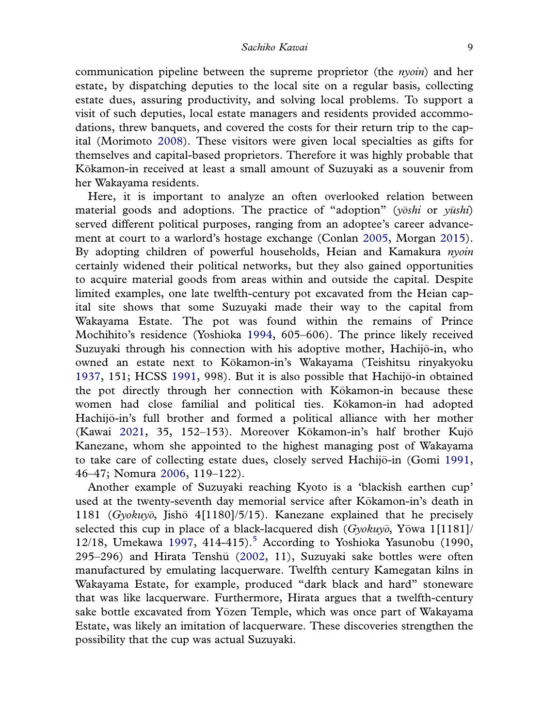communication pipeline between the supreme proprietor (the *nyoin*) and her estate, by dispatching deputies to the local site on a regular basis, collecting estate dues, assuring productivity, and solving local problems. To support a visit of such deputies, local estate managers and residents provided accommodations, threw banquets, and covered the costs for their return trip to the capital (Morimoto 2008). These visitors were given local specialties as gifts for themselves and capital-based proprietors. Therefore it was highly probable that Kokamon-in received at least a small amount of Suzuyaki as a souvenir from her Wakayama residents.

Here, it is important to analyze an often overlooked relation between material goods and adoptions. The practice of "adoption" (*yoshi* or *yushi* ) served different political purposes, ranging from an adoptee's career advancement at court to a warlord's hostage exchange (Conlan 2005, Morgan 2015). By adopting children of powerful households, Heian and Kamakura *nyoin* certainly widened their political networks, but they also gained opportunities to acquire material goods from areas within and outside the capital. Despite limited examples, one late twelfth-century pot excavated from the Heian capital site shows that some Suzuyaki made their way to the capital from Wakayama Estate. The pot was found within the remains of Prince Mochihito's residence (Yoshioka 1994, 605–606). The prince likely received Suzuyaki through his connection with his adoptive mother, Hachijo-in, who owned an estate next to Kokamon-in's Wakayama (Teishitsu rinyakyoku 1937, 151; HCSS 1991, 998). But it is also possible that Hachijo-in obtained the pot directly through her connection with Kokamon-in because these women had close familial and political ties. Kokamon-in had adopted Hachijo-in's full brother and formed a political alliance with her mother (Kawai 2021, 35, 152-153). Moreover Kōkamon-in's half brother Kujō Kanezane, whom she appointed to the highest managing post of Wakayama to take care of collecting estate dues, closely served Hachijo-in (Gomi 1991, 46–47; Nomura 2006, 119–122).

Another example of Suzuyaki reaching Kyoto is a 'blackish earthen cup' used at the twenty-seventh day memorial service after Kokamon-in's death in 1181 (*Gyokuyo*, Jisho 4[1180]/5/15). Kanezane explained that he precisely selected this cup in place of a black-lacquered dish (*Gyokuyo*, Yowa 1[1181]/ 12/18, Umekawa 1997, 414-415).<sup>5</sup> According to Yoshioka Yasunobu (1990,  $295-296$ ) and Hirata Tenshū  $(2002, 11)$ , Suzuyaki sake bottles were often manufactured by emulating lacquerware. Twelfth century Kamegatan kilns in Wakayama Estate, for example, produced "dark black and hard" stoneware that was like lacquerware. Furthermore, Hirata argues that a twelfth-century sake bottle excavated from Yōzen Temple, which was once part of Wakayama Estate, was likely an imitation of lacquerware. These discoveries strengthen the possibility that the cup was actual Suzuyaki.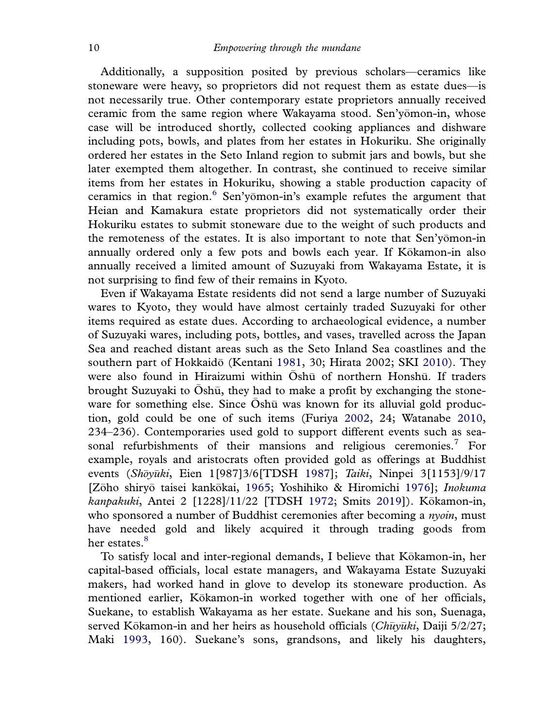Additionally, a supposition posited by previous scholars—ceramics like stoneware were heavy, so proprietors did not request them as estate dues—is not necessarily true. Other contemporary estate proprietors annually received ceramic from the same region where Wakayama stood. Sen'yomon-in, whose case will be introduced shortly, collected cooking appliances and dishware including pots, bowls, and plates from her estates in Hokuriku. She originally ordered her estates in the Seto Inland region to submit jars and bowls, but she later exempted them altogether. In contrast, she continued to receive similar items from her estates in Hokuriku, showing a stable production capacity of ceramics in that region.<sup>6</sup> Sen'yomon-in's example refutes the argument that Heian and Kamakura estate proprietors did not systematically order their Hokuriku estates to submit stoneware due to the weight of such products and the remoteness of the estates. It is also important to note that Sen'yomon-in annually ordered only a few pots and bowls each year. If Kokamon-in also annually received a limited amount of Suzuyaki from Wakayama Estate, it is not surprising to find few of their remains in Kyoto.

Even if Wakayama Estate residents did not send a large number of Suzuyaki wares to Kyoto, they would have almost certainly traded Suzuyaki for other items required as estate dues. According to archaeological evidence, a number of Suzuyaki wares, including pots, bottles, and vases, travelled across the Japan Sea and reached distant areas such as the Seto Inland Sea coastlines and the southern part of Hokkaido (Kentani 1981, 30; Hirata 2002; SKI 2010). They were also found in Hiraizumi within Oshū of northern Honshū. If traders brought Suzuyaki to  $\bar{O}$ shū, they had to make a profit by exchanging the stoneware for something else. Since  $\bar{O}$ shū was known for its alluvial gold production, gold could be one of such items (Furiya 2002, 24; Watanabe 2010, 234–236). Contemporaries used gold to support different events such as seasonal refurbishments of their mansions and religious ceremonies.<sup>7</sup> For example, royals and aristocrats often provided gold as offerings at Buddhist events (*Shoyuki* , Eien 1[987]3/6[TDSH 1987]; *Taiki*, Ninpei 3[1153]/9/17 [Zōho shiryō taisei kankōkai, 1965; Yoshihiko & Hiromichi 1976]; *Inokuma kanpakuki*, Antei 2 [1228]/11/22 [TDSH 1972; Smits 2019]). Kokamon-in, who sponsored a number of Buddhist ceremonies after becoming a *nyoin*, must have needed gold and likely acquired it through trading goods from her estates.<sup>8</sup>

To satisfy local and inter-regional demands, I believe that Kokamon-in, her capital-based officials, local estate managers, and Wakayama Estate Suzuyaki makers, had worked hand in glove to develop its stoneware production. As mentioned earlier, Kokamon-in worked together with one of her officials, Suekane, to establish Wakayama as her estate. Suekane and his son, Suenaga, served Kōkamon-in and her heirs as household officials (Chuyuki, Daiji 5/2/27; Maki 1993, 160). Suekane's sons, grandsons, and likely his daughters,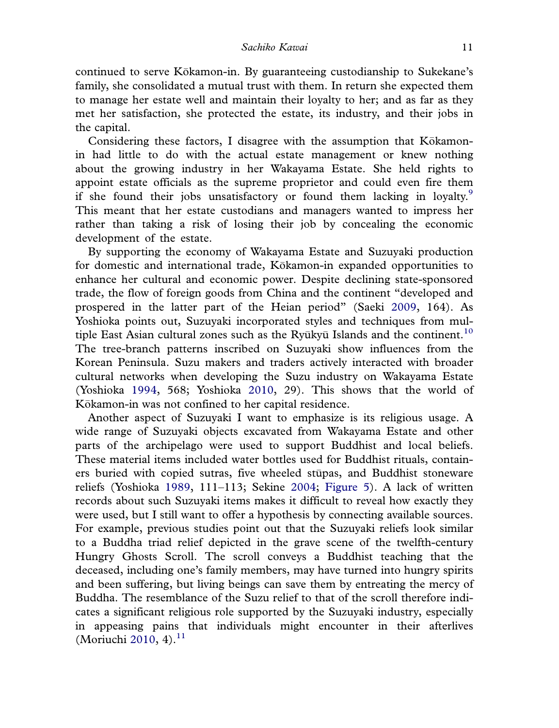continued to serve Kokamon-in. By guaranteeing custodianship to Sukekane's family, she consolidated a mutual trust with them. In return she expected them to manage her estate well and maintain their loyalty to her; and as far as they met her satisfaction, she protected the estate, its industry, and their jobs in the capital.

Considering these factors, I disagree with the assumption that Kōkamonin had little to do with the actual estate management or knew nothing about the growing industry in her Wakayama Estate. She held rights to appoint estate officials as the supreme proprietor and could even fire them if she found their jobs unsatisfactory or found them lacking in loyalty. $\frac{9}{2}$ This meant that her estate custodians and managers wanted to impress her rather than taking a risk of losing their job by concealing the economic development of the estate.

By supporting the economy of Wakayama Estate and Suzuyaki production for domestic and international trade, Kokamon-in expanded opportunities to enhance her cultural and economic power. Despite declining state-sponsored trade, the flow of foreign goods from China and the continent "developed and prospered in the latter part of the Heian period" (Saeki 2009, 164). As Yoshioka points out, Suzuyaki incorporated styles and techniques from multiple East Asian cultural zones such as the Ryūkyū Islands and the continent.<sup>10</sup> The tree-branch patterns inscribed on Suzuyaki show influences from the Korean Peninsula. Suzu makers and traders actively interacted with broader cultural networks when developing the Suzu industry on Wakayama Estate (Yoshioka 1994, 568; Yoshioka 2010, 29). This shows that the world of Kōkamon-in was not confined to her capital residence.

Another aspect of Suzuyaki I want to emphasize is its religious usage. A wide range of Suzuyaki objects excavated from Wakayama Estate and other parts of the archipelago were used to support Buddhist and local beliefs. These material items included water bottles used for Buddhist rituals, containers buried with copied sutras, five wheeled stupas, and Buddhist stoneware reliefs (Yoshioka 1989, 111–113; Sekine 2004; Figure 5). A lack of written records about such Suzuyaki items makes it difficult to reveal how exactly they were used, but I still want to offer a hypothesis by connecting available sources. For example, previous studies point out that the Suzuyaki reliefs look similar to a Buddha triad relief depicted in the grave scene of the twelfth-century Hungry Ghosts Scroll. The scroll conveys a Buddhist teaching that the deceased, including one's family members, may have turned into hungry spirits and been suffering, but living beings can save them by entreating the mercy of Buddha. The resemblance of the Suzu relief to that of the scroll therefore indicates a significant religious role supported by the Suzuyaki industry, especially in appeasing pains that individuals might encounter in their afterlives (Moriuchi 2010, 4). $^{11}$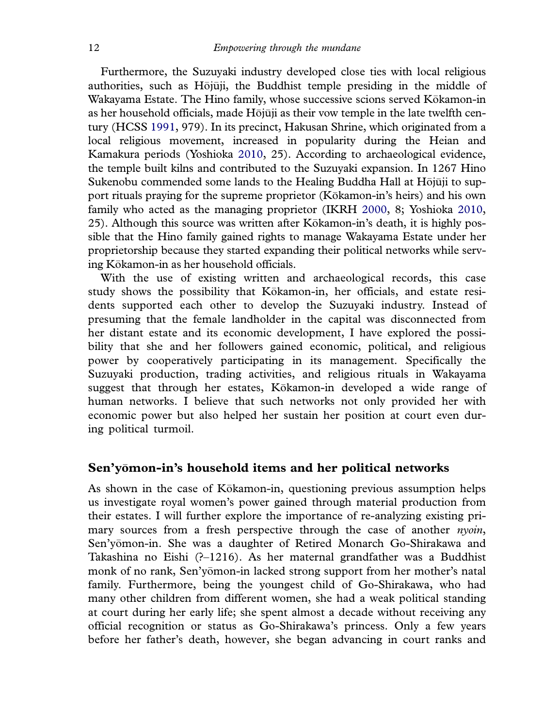Furthermore, the Suzuyaki industry developed close ties with local religious authorities, such as Hōjūji, the Buddhist temple presiding in the middle of Wakayama Estate. The Hino family, whose successive scions served Kokamon-in as her household officials, made Hōjūji as their vow temple in the late twelfth century (HCSS 1991, 979). In its precinct, Hakusan Shrine, which originated from a local religious movement, increased in popularity during the Heian and Kamakura periods (Yoshioka 2010, 25). According to archaeological evidence, the temple built kilns and contributed to the Suzuyaki expansion. In 1267 Hino Sukenobu commended some lands to the Healing Buddha Hall at Hōjūji to support rituals praying for the supreme proprietor (Kokamon-in's heirs) and his own family who acted as the managing proprietor (IKRH 2000, 8; Yoshioka 2010, 25). Although this source was written after Kokamon-in's death, it is highly pos sible that the Hino family gained rights to manage Wakayama Estate under her proprietorship because they started expanding their political networks while serving Kokamon-in as her household officials.

With the use of existing written and archaeological records, this case study shows the possibility that Kokamon-in, her officials, and estate resi dents supported each other to develop the Suzuyaki industry. Instead of presuming that the female landholder in the capital was disconnected from her distant estate and its economic development, I have explored the possibility that she and her followers gained economic, political, and religious power by cooperatively participating in its management. Specifically the Suzuyaki production, trading activities, and religious rituals in Wakayama suggest that through her estates, Kokamon-in developed a wide range of human networks. I believe that such networks not only provided her with economic power but also helped her sustain her position at court even during political turmoil.

#### Sen'yomon-in's household items and her political networks

As shown in the case of Kokamon-in, questioning previous assumption helps us investigate royal women's power gained through material production from their estates. I will further explore the importance of re-analyzing existing primary sources from a fresh perspective through the case of another *nyoin*, Sen'yomon-in. She was a daughter of Retired Monarch Go-Shirakawa and Takashina no Eishi ( $-1216$ ). As her maternal grandfather was a Buddhist monk of no rank, Sen'yomon-in lacked strong support from her mother's natal family. Furthermore, being the youngest child of Go-Shirakawa, who had many other children from different women, she had a weak political standing at court during her early life; she spent almost a decade without receiving any official recognition or status as Go-Shirakawa's princess. Only a few years before her father's death, however, she began advancing in court ranks and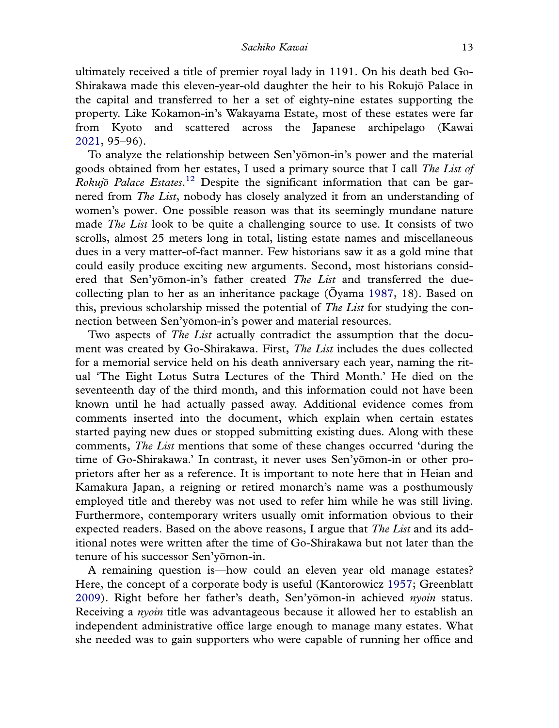ultimately received a title of premier royal lady in 1191. On his death bed Go-Shirakawa made this eleven-year-old daughter the heir to his Rokujo Palace in the capital and transferred to her a set of eighty-nine estates supporting the property. Like Kokamon-in's Wakayama Estate, most of these estates were far from Kyoto and scattered across the Japanese archipelago (Kawai 2021, 95–96).

To analyze the relationship between Sen'yomon-in's power and the material goods obtained from her estates, I used a primary source that I call *The List of Rokujo Palace Estates*. <sup>12</sup> Despite the significant information that can be garnered from *The List*, nobody has closely analyzed it from an understanding of women's power. One possible reason was that its seemingly mundane nature made *The List* look to be quite a challenging source to use. It consists of two scrolls, almost 25 meters long in total, listing estate names and miscellaneous dues in a very matter-of-fact manner. Few historians saw it as a gold mine that could easily produce exciting new arguments. Second, most historians considered that Sen'yomon-in's father created *The List* and transferred the duecollecting plan to her as an inheritance package (Oyama 1987, 18). Based on this, previous scholarship missed the potential of *The List* for studying the connection between Sen'yomon-in's power and material resources.

Two aspects of *The List* actually contradict the assumption that the document was created by Go-Shirakawa. First, *The List* includes the dues collected for a memorial service held on his death anniversary each year, naming the ritual 'The Eight Lotus Sutra Lectures of the Third Month.' He died on the seventeenth day of the third month, and this information could not have been known until he had actually passed away. Additional evidence comes from comments inserted into the document, which explain when certain estates started paying new dues or stopped submitting existing dues. Along with these comments, *The List* mentions that some of these changes occurred 'during the time of Go-Shirakawa.' In contrast, it never uses Sen'yomon-in or other pro prietors after her as a reference. It is important to note here that in Heian and Kamakura Japan, a reigning or retired monarch's name was a posthumously employed title and thereby was not used to refer him while he was still living. Furthermore, contemporary writers usually omit information obvious to their expected readers. Based on the above reasons, I argue that *The List* and its additional notes were written after the time of Go-Shirakawa but not later than the tenure of his successor Sen'yomon-in.

A remaining question is—how could an eleven year old manage estates? Here, the concept of a corporate body is useful (Kantorowicz 1957; Greenblatt 2009). Right before her father's death, Sen'yomon-in achieved *nyoin* status. Receiving a *nyoin* title was advantageous because it allowed her to establish an independent administrative office large enough to manage many estates. What she needed was to gain supporters who were capable of running her office and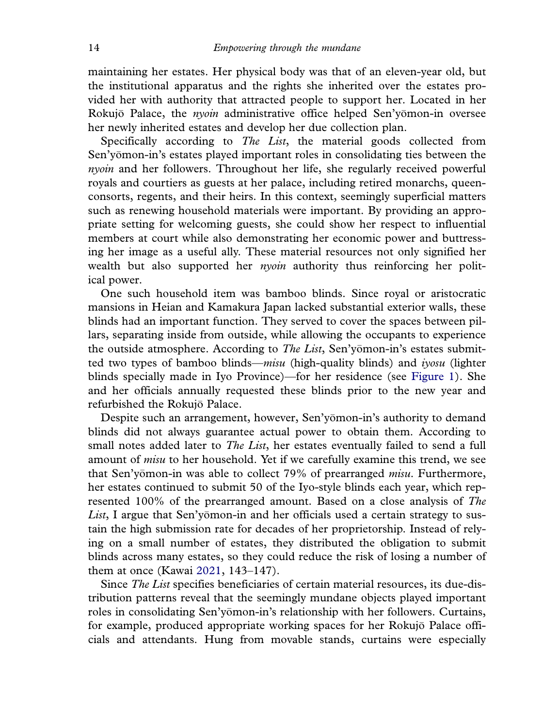maintaining her estates. Her physical body was that of an eleven-year old, but the institutional apparatus and the rights she inherited over the estates provided her with authority that attracted people to support her. Located in her Rokujo Palace, the *nyoin* administrative office helped Sen'yomon-in oversee her newly inherited estates and develop her due collection plan.

Specifically according to *The List*, the material goods collected from Sen'yomon-in's estates played important roles in consolidating ties between the *nyoin* and her followers. Throughout her life, she regularly received powerful royals and courtiers as guests at her palace, including retired monarchs, queenconsorts, regents, and their heirs. In this context, seemingly superficial matters such as renewing household materials were important. By providing an appropriate setting for welcoming guests, she could show her respect to influential members at court while also demonstrating her economic power and buttressing her image as a useful ally. These material resources not only signified her wealth but also supported her *nyoin* authority thus reinforcing her political power.

One such household item was bamboo blinds. Since royal or aristocratic mansions in Heian and Kamakura Japan lacked substantial exterior walls, these blinds had an important function. They served to cover the spaces between pillars, separating inside from outside, while allowing the occupants to experience the outside atmosphere. According to *The List*, Sen'yomon-in's estates submitted two types of bamboo blinds—*misu* (high-quality blinds) and *iyosu* (lighter blinds specially made in Iyo Province)—for her residence (see Figure 1). She and her officials annually requested these blinds prior to the new year and refurbished the Rokujo Palace.

Despite such an arrangement, however, Sen'yomon-in's authority to demand blinds did not always guarantee actual power to obtain them. According to small notes added later to *The List*, her estates eventually failed to send a full amount of *misu* to her household. Yet if we carefully examine this trend, we see that Sen'yomon-in was able to collect 79% of prearranged *misu*. Furthermore, her estates continued to submit 50 of the Iyo-style blinds each year, which represented 100% of the prearranged amount. Based on a close analysis of *The* List, I argue that Sen'yomon-in and her officials used a certain strategy to sustain the high submission rate for decades of her proprietorship. Instead of relying on a small number of estates, they distributed the obligation to submit blinds across many estates, so they could reduce the risk of losing a number of them at once (Kawai 2021, 143–147).

Since *The List* specifies beneficiaries of certain material resources, its due-distribution patterns reveal that the seemingly mundane objects played important roles in consolidating Sen'yomon-in's relationship with her followers. Curtains, for example, produced appropriate working spaces for her Rokujo Palace offi cials and attendants. Hung from movable stands, curtains were especially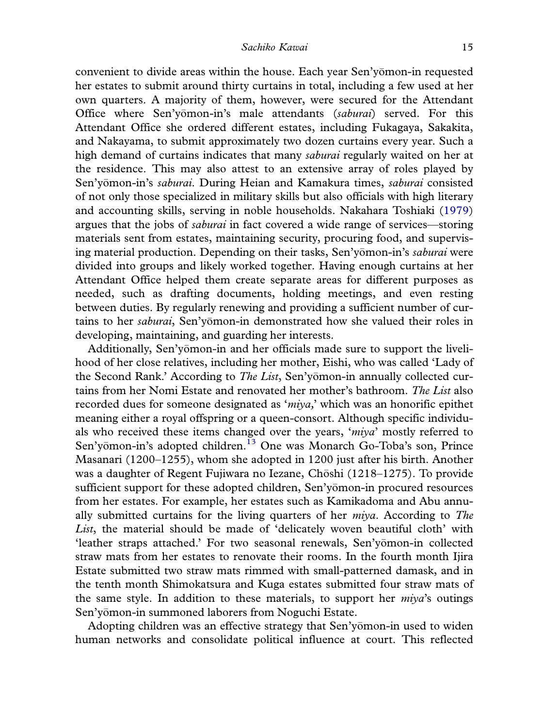convenient to divide areas within the house. Each year Sen'yomon-in requested her estates to submit around thirty curtains in total, including a few used at her own quarters. A majority of them, however, were secured for the Attendant Office where Sen'yomon-in's male attendants ( *saburai*) served. For this Attendant Office she ordered different estates, including Fukagaya, Sakakita, and Nakayama, to submit approximately two dozen curtains every year. Such a high demand of curtains indicates that many *saburai* regularly waited on her at the residence. This may also attest to an extensive array of roles played by Sen'yomon-in's *saburai*. During Heian and Kamakura times, *saburai* consisted of not only those specialized in military skills but also officials with high literary and accounting skills, serving in noble households. Nakahara Toshiaki (1979) argues that the jobs of *saburai* in fact covered a wide range of services—storing materials sent from estates, maintaining security, procuring food, and supervising material production. Depending on their tasks, Sen'yomon-in's *saburai* were divided into groups and likely worked together. Having enough curtains at her Attendant Office helped them create separate areas for different purposes as needed, such as drafting documents, holding meetings, and even resting between duties. By regularly renewing and providing a sufficient number of curtains to her *saburai*, Sen'yomon-in demonstrated how she valued their roles in developing, maintaining, and guarding her interests.

Additionally, Sen'yomon-in and her officials made sure to support the liveli hood of her close relatives, including her mother, Eishi, who was called 'Lady of the Second Rank.' According to *The List*, Sen'yomon-in annually collected cur tains from her Nomi Estate and renovated her mother's bathroom. *The List* also recorded dues for someone designated as '*miya,*' which was an honorific epithet meaning either a royal offspring or a queen-consort. Although specific individuals who received these items changed over the years, '*miya*' mostly referred to Sen'yomon-in's adopted children.<sup>13</sup> One was Monarch Go-Toba's son, Prince Masanari (1200–1255), whom she adopted in 1200 just after his birth. Another was a daughter of Regent Fujiwara no Iezane, Chōshi (1218–1275). To provide sufficient support for these adopted children, Sen'yomon-in procured resources from her estates. For example, her estates such as Kamikadoma and Abu annually submitted curtains for the living quarters of her *miya*. According to *The List*, the material should be made of 'delicately woven beautiful cloth' with 'leather straps attached.' For two seasonal renewals, Sen'yomon-in collected straw mats from her estates to renovate their rooms. In the fourth month Ijira Estate submitted two straw mats rimmed with small-patterned damask, and in the tenth month Shimokatsura and Kuga estates submitted four straw mats of the same style. In addition to these materials, to support her *miya*'s outings Sen'yomon-in summoned laborers from Noguchi Estate.

Adopting children was an effective strategy that Sen'yomon-in used to widen human networks and consolidate political influence at court. This reflected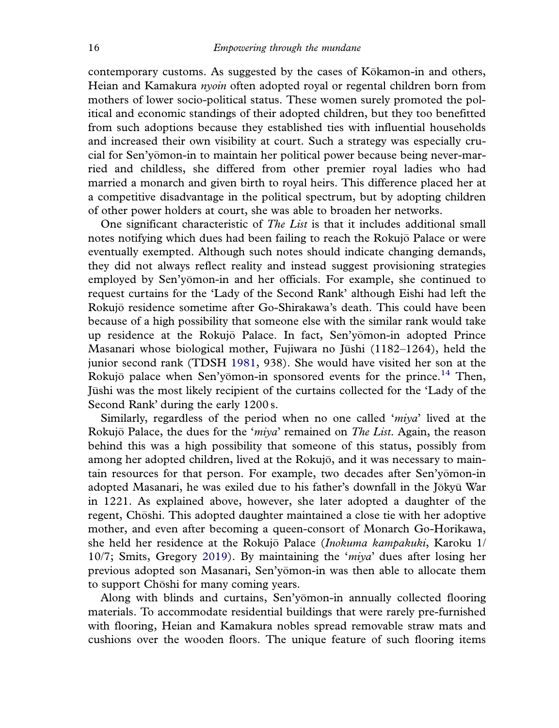contemporary customs. As suggested by the cases of Kokamon-in and others, Heian and Kamakura *nyoin* often adopted royal or regental children born from mothers of lower socio-political status. These women surely promoted the political and economic standings of their adopted children, but they too benefitted from such adoptions because they established ties with influential households and increased their own visibility at court. Such a strategy was especially crucial for Sen'yomon-in to maintain her political power because being never-mar ried and childless, she differed from other premier royal ladies who had married a monarch and given birth to royal heirs. This difference placed her at a competitive disadvantage in the political spectrum, but by adopting children of other power holders at court, she was able to broaden her networks.

One significant characteristic of *The List* is that it includes additional small notes notifying which dues had been failing to reach the Rokujo Palace or were eventually exempted. Although such notes should indicate changing demands, they did not always reflect reality and instead suggest provisioning strategies employed by Sen'yomon-in and her officials. For example, she continued to request curtains for the 'Lady of the Second Rank' although Eishi had left the Rokujo residence sometime after Go-Shirakawa's death. This could have been because of a high possibility that someone else with the similar rank would take up residence at the Rokujō Palace. In fact, Sen'yomon-in adopted Prince Masanari whose biological mother, Fujiwara no Jūshi (1182–1264), held the junior second rank (TDSH 1981, 938). She would have visited her son at the Rokujō palace when Sen'yōmon-in sponsored events for the prince.<sup>14</sup> Then, Jushi was the most likely recipient of the curtains collected for the 'Lady of the Second Rank' during the early 1200 s.

Similarly, regardless of the period when no one called '*miya*' lived at the Rokujo Palace, the dues for the ' *miya*' remained on *The List*. Again, the reason behind this was a high possibility that someone of this status, possibly from among her adopted children, lived at the Rokujo, and it was necessary to maintain resources for that person. For example, two decades after Sen'yomon-in adopted Masanari, he was exiled due to his father's downfall in the Jōkyū War in 1221. As explained above, however, she later adopted a daughter of the regent, Chōshi. This adopted daughter maintained a close tie with her adoptive mother, and even after becoming a queen-consort of Monarch Go-Horikawa, she held her residence at the Rokujo Palace ( *Inokuma kampakuki*, Karoku 1/ 10/7; Smits, Gregory 2019). By maintaining the '*miya*' dues after losing her previous adopted son Masanari, Sen'yomon-in was then able to allocate them to support Choshi for many coming years.

Along with blinds and curtains, Sen'yomon-in annually collected flooring materials. To accommodate residential buildings that were rarely pre-furnished with flooring, Heian and Kamakura nobles spread removable straw mats and cushions over the wooden floors. The unique feature of such flooring items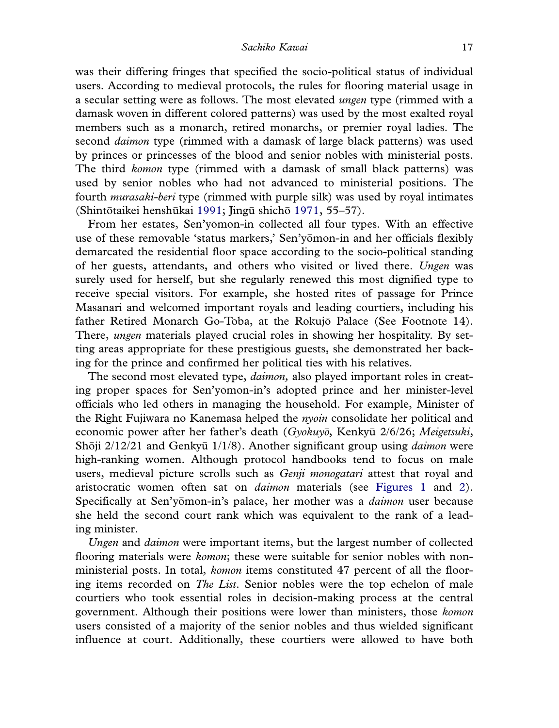was their differing fringes that specified the socio-political status of individual users. According to medieval protocols, the rules for flooring material usage in a secular setting were as follows. The most elevated *ungen* type (rimmed with a damask woven in different colored patterns) was used by the most exalted royal members such as a monarch, retired monarchs, or premier royal ladies. The second *daimon* type (rimmed with a damask of large black patterns) was used by princes or princesses of the blood and senior nobles with ministerial posts. The third *komon* type (rimmed with a damask of small black patterns) was used by senior nobles who had not advanced to ministerial positions. The fourth *murasaki-beri* type (rimmed with purple silk) was used by royal intimates (Shintōtaikei henshūkai 1991; Jingū shichō 1971, 55–57).

From her estates, Sen'yomon-in collected all four types. With an effective use of these removable 'status markers,' Sen'yomon-in and her officials flexibly demarcated the residential floor space according to the socio-political standing of her guests, attendants, and others who visited or lived there. *Ungen* was surely used for herself, but she regularly renewed this most dignified type to receive special visitors. For example, she hosted rites of passage for Prince Masanari and welcomed important royals and leading courtiers, including his father Retired Monarch Go-Toba, at the Rokujō Palace (See Footnote 14). There, *ungen* materials played crucial roles in showing her hospitality. By setting areas appropriate for these prestigious guests, she demonstrated her backing for the prince and confirmed her political ties with his relatives.

The second most elevated type, *daimon,* also played important roles in creating proper spaces for Sen'yomon-in's adopted prince and her minister-level officials who led others in managing the household. For example, Minister of the Right Fujiwara no Kanemasa helped the *nyoin* consolidate her political and economic power after her father's death (*Gyokuyo*, Kenkyu 2/6/26; *Meigetsuki*, Shōji 2/12/21 and Genkvū 1/1/8). Another significant group using *daimon* were high-ranking women. Although protocol handbooks tend to focus on male users, medieval picture scrolls such as *Genji monogatari* attest that royal and aristocratic women often sat on *daimon* materials (see Figures 1 and 2). Specifically at Sen'yomon-in's palace, her mother was a *daimon* user because she held the second court rank which was equivalent to the rank of a leading minister.

*Ungen* and *daimon* were important items, but the largest number of collected flooring materials were *komon*; these were suitable for senior nobles with nonministerial posts. In total, *komon* items constituted 47 percent of all the flooring items recorded on *The List*. Senior nobles were the top echelon of male courtiers who took essential roles in decision-making process at the central government. Although their positions were lower than ministers, those *komon* users consisted of a majority of the senior nobles and thus wielded significant influence at court. Additionally, these courtiers were allowed to have both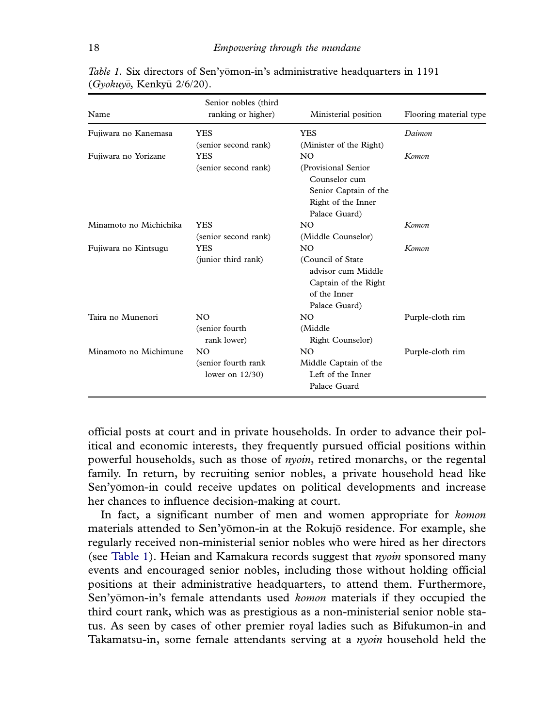| Name                   | Senior nobles (third<br>ranking or higher) | Ministerial position                                                                             | Flooring material type |
|------------------------|--------------------------------------------|--------------------------------------------------------------------------------------------------|------------------------|
| Fujiwara no Kanemasa   | <b>YES</b>                                 | <b>YES</b>                                                                                       | Daimon                 |
|                        | (senior second rank)                       | (Minister of the Right)                                                                          |                        |
| Fujiwara no Yorizane   | <b>YES</b>                                 | N <sub>O</sub>                                                                                   | Komon                  |
|                        | (senior second rank)                       | (Provisional Senior                                                                              |                        |
|                        |                                            | Counselor cum                                                                                    |                        |
|                        |                                            | Senior Captain of the                                                                            |                        |
|                        |                                            | Right of the Inner                                                                               |                        |
|                        |                                            | Palace Guard)                                                                                    |                        |
| Minamoto no Michichika | <b>YES</b>                                 | N <sub>O</sub>                                                                                   | Komon                  |
|                        | (senior second rank)                       | (Middle Counselor)                                                                               |                        |
| Fujiwara no Kintsugu   | YES                                        | N <sub>O</sub>                                                                                   | Komon                  |
|                        | (junior third rank)                        | (Council of State<br>advisor cum Middle<br>Captain of the Right<br>of the Inner<br>Palace Guard) |                        |
| Taira no Munenori      | NO.                                        | N <sub>O</sub>                                                                                   | Purple-cloth rim       |
|                        | (senior fourth                             | (Middle)                                                                                         |                        |
|                        | rank lower)                                | <b>Right Counselor</b> )                                                                         |                        |
| Minamoto no Michimune  | NO.                                        | N <sub>O</sub>                                                                                   | Purple-cloth rim       |
|                        | (senior fourth rank)                       | Middle Captain of the                                                                            |                        |
|                        | lower on $12/30$ )                         | Left of the Inner                                                                                |                        |
|                        |                                            | Palace Guard                                                                                     |                        |

*Table 1.* Six directors of Sen'yomon-in's administrative headquarters in 1191 (*Gyokuyo*, Kenkyu 2/6/20).

official posts at court and in private households. In order to advance their political and economic interests, they frequently pursued official positions within powerful households, such as those of *nyoin*, retired monarchs, or the regental family. In return, by recruiting senior nobles, a private household head like Sen'yomon-in could receive updates on political developments and increase her chances to influence decision-making at court.

In fact, a significant number of men and women appropriate for *komon* materials attended to Sen'yomon-in at the Rokujo residence. For example, she regularly received non-ministerial senior nobles who were hired as her directors (see Table 1). Heian and Kamakura records suggest that *nyoin* sponsored many events and encouraged senior nobles, including those without holding official positions at their administrative headquarters, to attend them. Furthermore, Sen'yomon-in's female attendants used *komon* materials if they occupied the third court rank, which was as prestigious as a non-ministerial senior noble status. As seen by cases of other premier royal ladies such as Bifukumon-in and Takamatsu-in, some female attendants serving at a *nyoin* household held the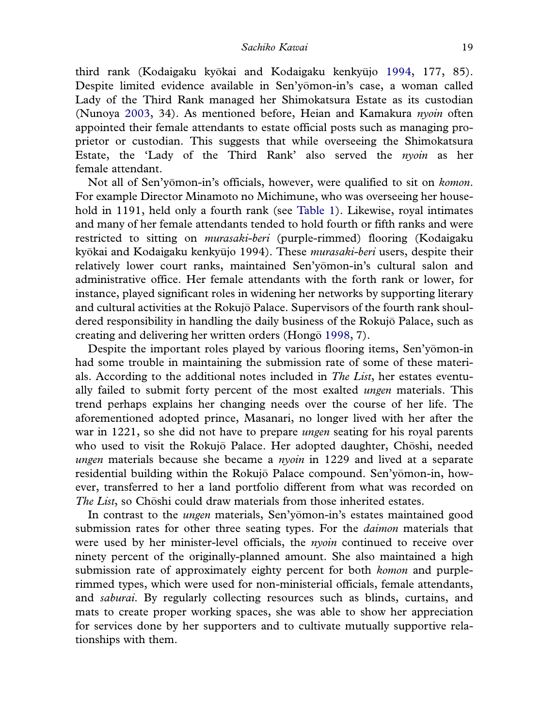third rank (Kodaigaku kyōkai and Kodaigaku kenkyūjo 1994, 177, 85). Despite limited evidence available in Sen'yomon-in's case, a woman called Lady of the Third Rank managed her Shimokatsura Estate as its custodian (Nunoya 2003, 34). As mentioned before, Heian and Kamakura *nyoin* often appointed their female attendants to estate official posts such as managing proprietor or custodian. This suggests that while overseeing the Shimokatsura Estate, the 'Lady of the Third Rank' also served the *nyoin* as her female attendant.

Not all of Sen'yomon-in's officials, however, were qualified to sit on *komon*. For example Director Minamoto no Michimune, who was overseeing her household in 1191, held only a fourth rank (see Table 1). Likewise, royal intimates and many of her female attendants tended to hold fourth or fifth ranks and were restricted to sitting on *murasaki-beri* (purple-rimmed) flooring (Kodaigaku kyokai and Kodaigaku kenky ujo 1994). These *murasaki-beri* users, despite their relatively lower court ranks, maintained Sen'yomon-in's cultural salon and administrative office. Her female attendants with the forth rank or lower, for instance, played significant roles in widening her networks by supporting literary and cultural activities at the Rokujo Palace. Supervisors of the fourth rank shoul dered responsibility in handling the daily business of the Rokujo Palace, such as creating and delivering her written orders (Hongo 1998, 7).

Despite the important roles played by various flooring items, Sen'yomon-in had some trouble in maintaining the submission rate of some of these materials. According to the additional notes included in *The List*, her estates eventually failed to submit forty percent of the most exalted *ungen* materials. This trend perhaps explains her changing needs over the course of her life. The aforementioned adopted prince, Masanari, no longer lived with her after the war in 1221, so she did not have to prepare *ungen* seating for his royal parents who used to visit the Rokujō Palace. Her adopted daughter, Chōshi, needed *ungen* materials because she became a *nyoin* in 1229 and lived at a separate residential building within the Rokujō Palace compound. Sen'yōmon-in, however, transferred to her a land portfolio different from what was recorded on *The List*, so Choshi could draw materials from those inherited estates.

In contrast to the *ungen* materials, Sen'yomon-in's estates maintained good submission rates for other three seating types. For the *daimon* materials that were used by her minister-level officials, the *nyoin* continued to receive over ninety percent of the originally-planned amount. She also maintained a high submission rate of approximately eighty percent for both *komon* and purplerimmed types, which were used for non-ministerial officials, female attendants, and *saburai*. By regularly collecting resources such as blinds, curtains, and mats to create proper working spaces, she was able to show her appreciation for services done by her supporters and to cultivate mutually supportive relationships with them.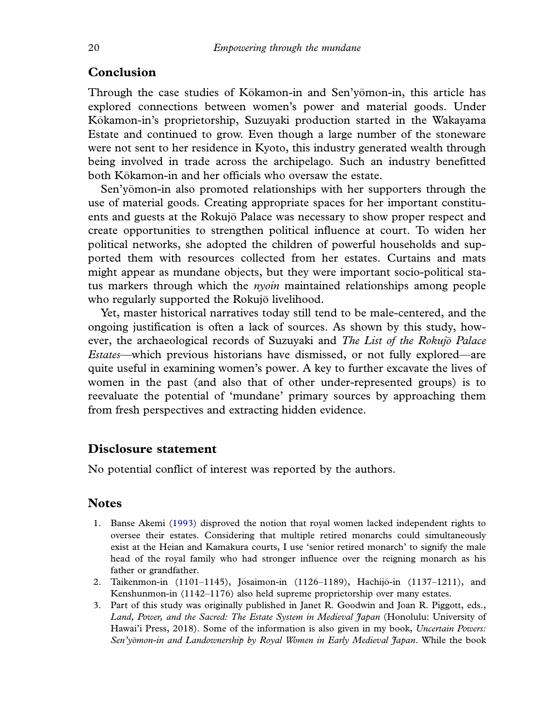#### **Conclusion**

Through the case studies of Kōkamon-in and Sen'yomon-in, this article has explored connections between women's power and material goods. Under Kokamon-in's proprietorship, Suzuyaki production started in the Wakayama Estate and continued to grow. Even though a large number of the stoneware were not sent to her residence in Kyoto, this industry generated wealth through being involved in trade across the archipelago. Such an industry benefitted both Kōkamon-in and her officials who oversaw the estate.

Sen'yomon-in also promoted relationships with her supporters through the use of material goods. Creating appropriate spaces for her important constituents and guests at the Rokujo Palace was necessary to show proper respect and create opportunities to strengthen political influence at court. To widen her political networks, she adopted the children of powerful households and supported them with resources collected from her estates. Curtains and mats might appear as mundane objects, but they were important socio-political status markers through which the *nyoin* maintained relationships among people who regularly supported the Rokujō livelihood.

Yet, master historical narratives today still tend to be male-centered, and the ongoing justification is often a lack of sources. As shown by this study, however, the archaeological records of Suzuyaki and *The List of the Rokujo Palace Estates*—which previous historians have dismissed, or not fully explored—are quite useful in examining women's power. A key to further excavate the lives of women in the past (and also that of other under-represented groups) is to reevaluate the potential of 'mundane' primary sources by approaching them from fresh perspectives and extracting hidden evidence.

#### Disclosure statement

No potential conflict of interest was reported by the authors.

#### **Notes**

- 1. Banse Akemi (1993) disproved the notion that royal women lacked independent rights to oversee their estates. Considering that multiple retired monarchs could simultaneously exist at the Heian and Kamakura courts, I use 'senior retired monarch' to signify the male head of the royal family who had stronger influence over the reigning monarch as his father or grandfather.
- 2. Taikenmon-in (1101–1145), Jōsaimon-in (1126–1189), Hachijō-in (1137–1211), and Kenshunmon-in (1142–1176) also held supreme proprietorship over many estates.
- 3. Part of this study was originally published in Janet R. Goodwin and Joan R. Piggott, eds., *Land, Power, and the Sacred: The Estate System in Medieval Japan* (Honolulu: University of Hawai'i Press, 2018). Some of the information is also given in my book, *Uncertain Powers: Sen'yomon-in and Landownership by Royal Women in Early Medieval Japan*. While the book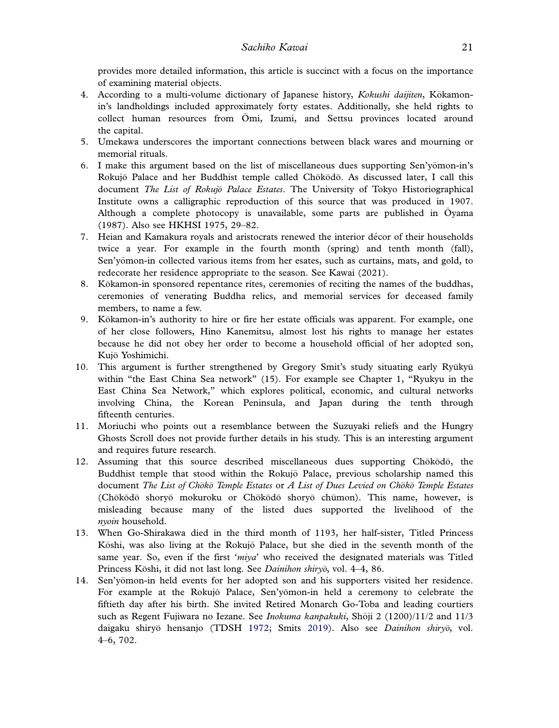provides more detailed information, this article is succinct with a focus on the importance of examining material objects.

- 4. According to a multi-volume dictionary of Japanese history, *Kokushi daijiten*, Kokamon in's landholdings included approximately forty estates. Additionally, she held rights to collect human resources from Omi, Izumi, and Settsu provinces located around the capital.
- 5. Umekawa underscores the important connections between black wares and mourning or memorial rituals.
- 6. I make this argument based on the list of miscellaneous dues supporting Sen'yomon-in's Rokujō Palace and her Buddhist temple called Chōkōdō. As discussed later, I call this document *The List of Rokujo Palace Estates*. The University of Tokyo Historiographical Institute owns a calligraphic reproduction of this source that was produced in 1907. Although a complete photocopy is unavailable, some parts are published in Oyama (1987). Also see HKHSI 1975, 29–82.
- 7. Heian and Kamakura royals and aristocrats renewed the interior decor of their households twice a year. For example in the fourth month (spring) and tenth month (fall), Sen'yomon-in collected various items from her esates, such as curtains, mats, and gold, to redecorate her residence appropriate to the season. See Kawai (2021).
- 8. Kokamon-in sponsored repentance rites, ceremonies of reciting the names of the buddhas, ceremonies of venerating Buddha relics, and memorial services for deceased family members, to name a few.
- 9. Kokamon-in's authority to hire or fire her estate officials was apparent. For example, one of her close followers, Hino Kanemitsu, almost lost his rights to manage her estates because he did not obey her order to become a household official of her adopted son, Kujo Yoshimichi.
- 10. This argument is further strengthened by Gregory Smit's study situating early Ryūkyū within "the East China Sea network" (15). For example see Chapter 1, "Ryukyu in the East China Sea Network," which explores political, economic, and cultural networks involving China, the Korean Peninsula, and Japan during the tenth through fifteenth centuries.
- 11. Moriuchi who points out a resemblance between the Suzuyaki reliefs and the Hungry Ghosts Scroll does not provide further details in his study. This is an interesting argument and requires future research.
- 12. Assuming that this source described miscellaneous dues supporting Chokodo, the Buddhist temple that stood within the Rokujo Palace, previous scholarship named this document *The List of Choko Temple Estates* or *A List of Dues Levied on Choko Temple Estates* (Chōkōdō shoryō mokuroku or Chōkōdō shoryō chūmon). This name, however, is misleading because many of the listed dues supported the livelihood of the *nyoin* household.
- 13. When Go-Shirakawa died in the third month of 1193, her half-sister, Titled Princess Kōshi, was also living at the Rokujō Palace, but she died in the seventh month of the same year. So, even if the first '*miya*' who received the designated materials was Titled Princess Kōshi, it did not last long. See *Dainihon shiry*<sup> $\bar{o}$ </sup>, vol. 4–4, 86.
- 14. Sen'yomon-in held events for her adopted son and his supporters visited her residence. For example at the Rokujō Palace, Sen'yomon-in held a ceremony to celebrate the fiftieth day after his birth. She invited Retired Monarch Go-Toba and leading courtiers such as Regent Fujiwara no Iezane. See *Inokuma kanpakuki*, Shoji 2 (1200)/11/2 and 11/3 daigaku shiryo hensanjo (TDSH 1972; Smits 2019). Also see *Dainihon shiryo*, vol. 4–6, 702.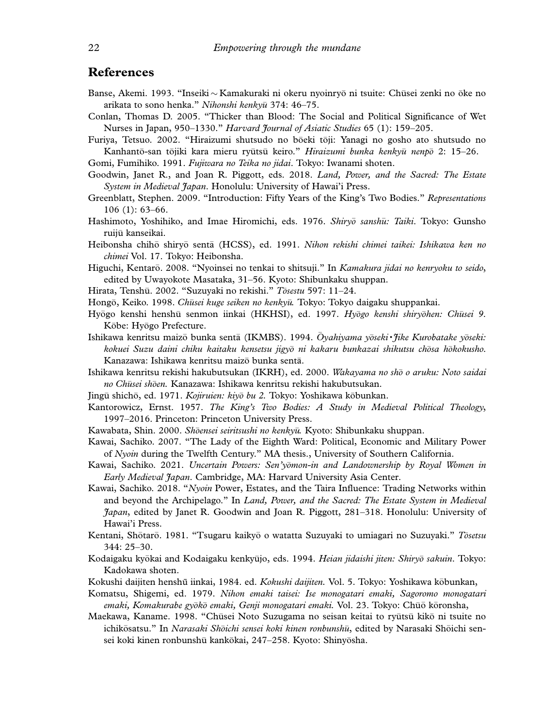#### References

- Banse, Akemi. 1993. "Inseiki  $\sim$  Kamakuraki ni okeru nyoinryō ni tsuite: Chūsei zenki no ōke no arikata to sono henka." *Nihonshi kenkyu* 374: 46–75.
- Conlan, Thomas D. 2005. "Thicker than Blood: The Social and Political Significance of Wet Nurses in Japan, 950–1330." *Harvard Journal of Asiatic Studies* 65 (1): 159–205.

Furiya, Tetsuo. 2002. "Hiraizumi shutsudo no bōeki tōji: Yanagi no gosho ato shutsudo no Kanhantō-san tōjiki kara mieru ryūtsū keiro." *Hiraizumi bunka kenkyū nenp*ō 2: 15–26. Gomi, Fumihiko. 1991. *Fujiwara no Teika no jidai*. Tokyo: Iwanami shoten.

Goodwin, Janet R., and Joan R. Piggott, eds. 2018. *Land, Power, and the Sacred: The Estate System in Medieval Japan*. Honolulu: University of Hawai'i Press.

- Greenblatt, Stephen. 2009. "Introduction: Fifty Years of the King's Two Bodies." *Representations* 106 (1): 63–66.
- Hashimoto, Yoshihiko, and Imae Hiromichi, eds. 1976. *Shiryō sanshū: Taiki*. Tokyo: Gunsho ruiju kanseikai.
- Heibonsha chihō shiryō sentā (HCSS), ed. 1991. *Nihon rekishi chimei taikei: Ishikawa ken no chimei* Vol. 17. Tokyo: Heibonsha.
- Higuchi, Kentarō. 2008. "Nyoinsei no tenkai to shitsuji." In *Kamakura jidai no kenryoku to seido*, edited by Uwayokote Masataka, 31–56. Kyoto: Shibunkaku shuppan.
- Hirata, Tenshu. 2002. "Suzuyaki no rekishi." *Tosestu* 597: 11–24.
- Hongō, Keiko. 1998. Chūsei kuge seiken no kenkyū. Tokyo: Tokyo daigaku shuppankai.
- Hyōgo kenshi henshū senmon iinkai (HKHSI), ed. 1997. *Hyōgo kenshi shiryōhen: Chūsei 9*. Kōbe: Hyōgo Prefecture.
- Ishikawa kenritsu maizō bunka sentā (IKMBS). 1994. *Oyahiyama yōseki* \* *Jike Kurobatake yōseki*: *kokuei Suzu daini chiku kaitaku kensetsu jigyo ni kakaru bunkazai shikutsu chosa hokokusho*. Kanazawa: Ishikawa kenritsu maizō bunka sentā.

Ishikawa kenritsu rekishi hakubutsukan (IKRH), ed. 2000. *Wakayama no sho o aruku: Noto saidai no Chusei sh oen.* Kanazawa: Ishikawa kenritsu rekishi hakubutsukan.

- Jingu shich o, ed. 1971. *Kojiruien: kiyo bu 2.* Tokyo: Yoshikawa kobunkan.
- Kantorowicz, Ernst. 1957. *The King's Two Bodies: A Study in Medieval Political Theology*, 1997–2016. Princeton: Princeton University Press.
- Kawabata, Shin. 2000. *Shoensei seiritsushi no kenkyu.* Kyoto: Shibunkaku shuppan.
- Kawai, Sachiko. 2007. "The Lady of the Eighth Ward: Political, Economic and Military Power of *Nyoin* during the Twelfth Century." MA thesis., University of Southern California.
- Kawai, Sachiko. 2021. *Uncertain Powers: Sen'yomon-in and Landownership by Royal Women in Early Medieval Japan*. Cambridge, MA: Harvard University Asia Center.
- Kawai, Sachiko. 2018. "*Nyoin* Power, Estates, and the Taira Influence: Trading Networks within and beyond the Archipelago." In *Land, Power, and the Sacred: The Estate System in Medieval Japan*, edited by Janet R. Goodwin and Joan R. Piggott, 281–318. Honolulu: University of Hawai'i Press.
- Kentani, Shotar o. 1981. "Tsugaru kaiky o o watatta Suzuyaki to umiagari no Suzuyaki." *Tosetsu* 344: 25–30.
- Kodaigaku kyokai and Kodaigaku kenky ujo, eds. 1994. *Heian jidaishi jiten: Shiryo sakuin*. Tokyo: Kadokawa shoten.
- Kokushi daijiten henshū iinkai, 1984. ed. *Kokushi daijiten.* Vol. 5. Tokyo: Yoshikawa kobunkan,
- Komatsu, Shigemi, ed. 1979. *Nihon emaki taisei: Ise monogatari emaki, Sagoromo monogatari emaki, Komakurabe gyoko emaki, Genji monogatari emaki.* Vol. 23. Tokyo: Chuo k oronsha,
- Maekawa, Kaname. 1998. "Chūsei Noto Suzugama no seisan keitai to ryūtsū kikō ni tsuite no ichikosatsu." In *Narasaki Shoichi sensei koki kinen ronbunshu*, edited by Narasaki Shoichi sen sei koki kinen ronbunshū kankōkai, 247–258. Kyoto: Shinyōsha.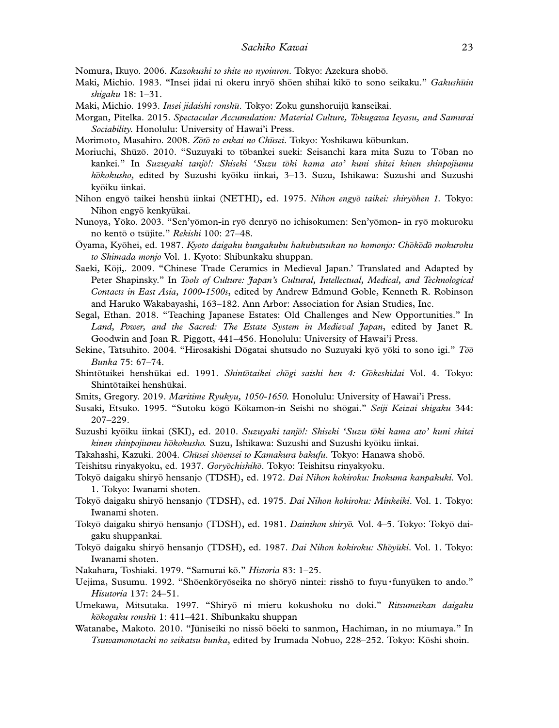Nomura, Ikuyo. 2006. *Kazokushi to shite no nyoinron*. Tokyo: Azekura shobo.

- Maki, Michio. 1983. "Insei jidai ni okeru inryō shōen shihai kikō to sono seikaku." *Gakushūin shigaku* 18: 1–31.
- Maki, Michio. 1993. *Insei jidaishi ronshu*. Tokyo: Zoku gunshoruiju kanseikai.
- Morgan, Pitelka. 2015. *Spectacular Accumulation: Material Culture, Tokugawa Ieyasu, and Samurai Sociability*. Honolulu: University of Hawai'i Press.

Morimoto, Masahiro. 2008. *Zoto to enkai no Chusei* . Tokyo: Yoshikawa kobunkan.

- Moriuchi, Shūzō. 2010. "Suzuyaki to tōbankei sueki: Seisanchi kara mita Suzu to Tōban no kankei." In *Suzuyaki tanjo!: Shiseki 'Suzu toki kama ato' kuni shitei kinen shinpojiumu hokokusho*, edited by Suzushi kyoiku iinkai, 3–13. Suzu, Ishikawa: Suzushi and Suzushi kyoiku iinkai.
- Nihon engyō taikei henshū iinkai (NETHI), ed. 1975. *Nihon engyō taikei: shiryōhen 1*. Tokyo: Nihon engyō kenkyūkai.
- Nunoya, Yōko. 2003. "Sen'yōmon-in ryō denryō no ichisokumen: Sen'yōmon- in ryō mokuroku no kento o ts ujite." *Rekishi* 100: 27–48.
- Oyama, Ky ohei, ed. 1987. *Kyoto daigaku bungakubu hakubutsukan no komonjo: Chokodo mokuroku to Shimada monjo* Vol. 1. Kyoto: Shibunkaku shuppan.
- Saeki, Koji,. 2009. "Chinese Trade Ceramics in Medieval Japan.' Translated and Adapted by Peter Shapinsky." In *Tools of Culture: Japan's Cultural, Intellectual, Medical, and Technological Contacts in East Asia, 1000-1500s*, edited by Andrew Edmund Goble, Kenneth R. Robinson and Haruko Wakabayashi, 163–182. Ann Arbor: Association for Asian Studies, Inc.
- Segal, Ethan. 2018. "Teaching Japanese Estates: Old Challenges and New Opportunities." In *Land, Power, and the Sacred: The Estate System in Medieval Japan*, edited by Janet R. Goodwin and Joan R. Piggott, 441–456. Honolulu: University of Hawai'i Press.
- Sekine, Tatsuhito. 2004. "Hirosakishi Dōgatai shutsudo no Suzuyaki kyō yōki to sono igi." Too *Bunka* 75: 67–74.
- Shintotaikei hensh ukai ed. 1991. *Shintotaikei chogi saishi hen 4: Gokeshidai* Vol. 4. Tokyo: Shintōtaikei henshūkai.
- Smits, Gregory. 2019. *Maritime Ryukyu, 1050-1650.* Honolulu: University of Hawai'i Press.
- Susaki, Etsuko. 1995. "Sutoku kōgō Kōkamon-in Seishi no shōgai." Seiji Keizai shigaku 344: 207–229.
- Suzushi kyoiku iinkai (SKI), ed. 2010. *Suzuyaki tanjo!: Shiseki 'Suzu toki kama ato' kuni shitei kinen shinpojiumu hokokusho.* Suzu, Ishikawa: Suzushi and Suzushi kyoiku iinkai.
- Takahashi, Kazuki. 2004. *Chusei shoensei to Kamakura bakufu*. Tokyo: Hanawa shobo.
- Teishitsu rinyakyoku, ed. 1937. *Goryochishiko*. Tokyo: Teishitsu rinyakyoku.
- Tokyō daigaku shiryō hensanjo (TDSH), ed. 1972. Dai Nihon kokiroku: Inokuma kanpakuki. Vol. 1. Tokyo: Iwanami shoten.
- Tokyō daigaku shiryō hensanjo (TDSH), ed. 1975. Dai Nihon kokiroku: Minkeiki. Vol. 1. Tokyo: Iwanami shoten.
- Tokyo daigaku shiry o hensanjo (TDSH), ed. 1981. *Dainihon shiryo.* Vol. 4–5. Tokyo: Tokyo dai gaku shuppankai.
- Tokyō daigaku shiryō hensanjo (TDSH), ed. 1987. Dai Nihon kokiroku: Shōyūki. Vol. 1. Tokyo: Iwanami shoten.
- Nakahara, Toshiaki. 1979. "Samurai ko." *Historia* 83: 1–25.
- Uejima, Susumu. 1992. "Shōenkōryōseika no shōryō nintei: risshō to fuyu funyūken to ando." *Hisutoria* 137: 24–51.
- Umekawa, Mitsutaka. 1997. "Shiryo ni mieru kokushoku no doki." *Ritsumeikan daigaku kokogaku ronshu* 1: 411–421. Shibunkaku shuppan
- Watanabe, Makoto. 2010. "Jūniseiki no nissō bōeki to sanmon, Hachiman, in no miumaya." In *Tsuwamonotachi no seikatsu bunka*, edited by Irumada Nobuo, 228–252. Tokyo: Koshi shoin.